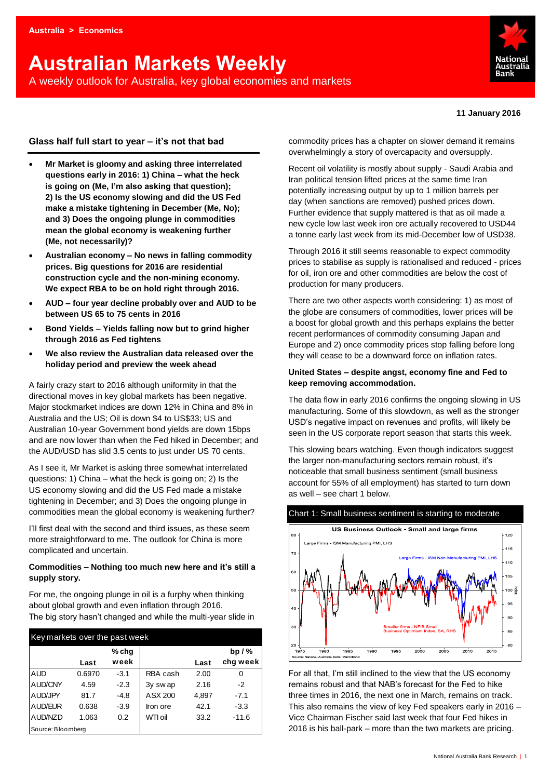# **Australian Markets Weekly**  A weekly outlook for Australia, key global economies and markets



#### **11 January 2016**

## **Glass half full start to year – it's not that bad**

- **Mr Market is gloomy and asking three interrelated questions early in 2016: 1) China – what the heck is going on (Me, I'm also asking that question); 2) Is the US economy slowing and did the US Fed make a mistake tightening in December (Me, No); and 3) Does the ongoing plunge in commodities mean the global economy is weakening further (Me, not necessarily)?**
- **Australian economy – No news in falling commodity prices. Big questions for 2016 are residential construction cycle and the non-mining economy. We expect RBA to be on hold right through 2016.**
- **AUD – four year decline probably over and AUD to be between US 65 to 75 cents in 2016**
- **Bond Yields – Yields falling now but to grind higher through 2016 as Fed tightens**
- **We also review the Australian data released over the holiday period and preview the week ahead**

A fairly crazy start to 2016 although uniformity in that the directional moves in key global markets has been negative. Major stockmarket indices are down 12% in China and 8% in Australia and the US; Oil is down \$4 to US\$33; US and Australian 10-year Government bond yields are down 15bps and are now lower than when the Fed hiked in December; and the AUD/USD has slid 3.5 cents to just under US 70 cents.

As I see it, Mr Market is asking three somewhat interrelated questions: 1) China – what the heck is going on; 2) Is the US economy slowing and did the US Fed made a mistake tightening in December; and 3) Does the ongoing plunge in commodities mean the global economy is weakening further?

I'll first deal with the second and third issues, as these seem more straightforward to me. The outlook for China is more complicated and uncertain.

## **Commodities – Nothing too much new here and it's still a supply story.**

For me, the ongoing plunge in oil is a furphy when thinking about global growth and even inflation through 2016. The big story hasn't changed and while the multi-year slide in

| Key markets over the past week |        |        |          |       |          |  |  |  |  |  |  |
|--------------------------------|--------|--------|----------|-------|----------|--|--|--|--|--|--|
|                                |        | % chg  |          |       | bp $/$ % |  |  |  |  |  |  |
|                                | Last   | week   |          | Last  | chg week |  |  |  |  |  |  |
| <b>AUD</b>                     | 0.6970 | $-3.1$ | RBA cash | 2.00  | 0        |  |  |  |  |  |  |
| AUD/CNY                        | 4.59   | $-2.3$ | 3y swap  | 2.16  | $-2$     |  |  |  |  |  |  |
| <b>AUD/JPY</b>                 | 81.7   | $-4.8$ | ASX 200  | 4,897 | $-7.1$   |  |  |  |  |  |  |
| <b>AUD/EUR</b>                 | 0.638  | $-3.9$ | Iron ore | 42.1  | $-3.3$   |  |  |  |  |  |  |
| AUD/NZD                        | 1.063  | 0.2    | WTI oil  | 33.2  | $-11.6$  |  |  |  |  |  |  |
| Source: Bloomberg              |        |        |          |       |          |  |  |  |  |  |  |

commodity prices has a chapter on slower demand it remains overwhelmingly a story of overcapacity and oversupply.

Recent oil volatility is mostly about supply - Saudi Arabia and Iran political tension lifted prices at the same time Iran potentially increasing output by up to 1 million barrels per day (when sanctions are removed) pushed prices down. Further evidence that supply mattered is that as oil made a new cycle low last week iron ore actually recovered to USD44 a tonne early last week from its mid-December low of USD38.

Through 2016 it still seems reasonable to expect commodity prices to stabilise as supply is rationalised and reduced - prices for oil, iron ore and other commodities are below the cost of production for many producers.

There are two other aspects worth considering: 1) as most of the globe are consumers of commodities, lower prices will be a boost for global growth and this perhaps explains the better recent performances of commodity consuming Japan and Europe and 2) once commodity prices stop falling before long they will cease to be a downward force on inflation rates.

## **United States – despite angst, economy fine and Fed to keep removing accommodation.**

The data flow in early 2016 confirms the ongoing slowing in US manufacturing. Some of this slowdown, as well as the stronger USD's negative impact on revenues and profits, will likely be seen in the US corporate report season that starts this week.

This slowing bears watching. Even though indicators suggest the larger non-manufacturing sectors remain robust, it's noticeable that small business sentiment (small business account for 55% of all employment) has started to turn down as well – see chart 1 below.



For all that, I'm still inclined to the view that the US economy remains robust and that NAB's forecast for the Fed to hike three times in 2016, the next one in March, remains on track. This also remains the view of key Fed speakers early in 2016 – Vice Chairman Fischer said last week that four Fed hikes in 2016 is his ball-park – more than the two markets are pricing.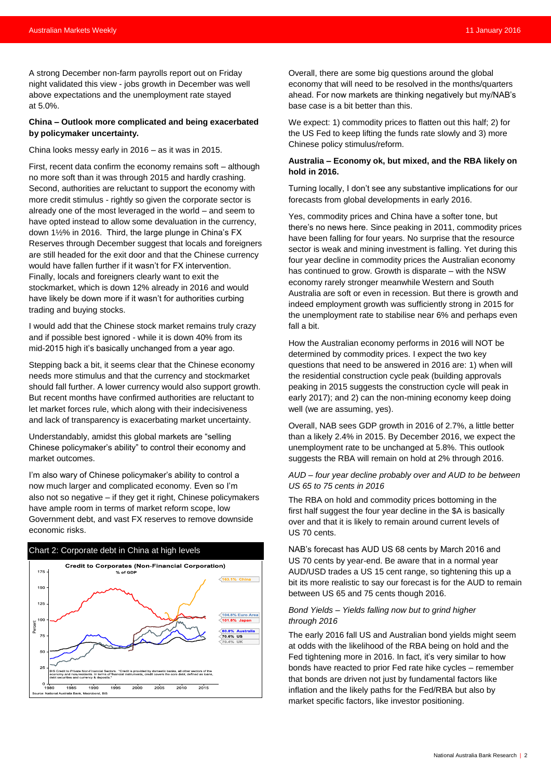A strong December non-farm payrolls report out on Friday night validated this view - jobs growth in December was well above expectations and the unemployment rate stayed at 5.0%.

## **China – Outlook more complicated and being exacerbated by policymaker uncertainty.**

China looks messy early in 2016 – as it was in 2015.

First, recent data confirm the economy remains soft – although no more soft than it was through 2015 and hardly crashing. Second, authorities are reluctant to support the economy with more credit stimulus - rightly so given the corporate sector is already one of the most leveraged in the world – and seem to have opted instead to allow some devaluation in the currency, down 1½% in 2016. Third, the large plunge in China's FX Reserves through December suggest that locals and foreigners are still headed for the exit door and that the Chinese currency would have fallen further if it wasn't for FX intervention. Finally, locals and foreigners clearly want to exit the stockmarket, which is down 12% already in 2016 and would have likely be down more if it wasn't for authorities curbing trading and buying stocks.

I would add that the Chinese stock market remains truly crazy and if possible best ignored - while it is down 40% from its mid-2015 high it's basically unchanged from a year ago.

Stepping back a bit, it seems clear that the Chinese economy needs more stimulus and that the currency and stockmarket should fall further. A lower currency would also support growth. But recent months have confirmed authorities are reluctant to let market forces rule, which along with their indecisiveness and lack of transparency is exacerbating market uncertainty.

Understandably, amidst this global markets are "selling Chinese policymaker's ability" to control their economy and market outcomes.

I'm also wary of Chinese policymaker's ability to control a now much larger and complicated economy. Even so I'm also not so negative – if they get it right, Chinese policymakers have ample room in terms of market reform scope, low Government debt, and vast FX reserves to remove downside economic risks.



Overall, there are some big questions around the global economy that will need to be resolved in the months/quarters ahead. For now markets are thinking negatively but my/NAB's base case is a bit better than this.

We expect: 1) commodity prices to flatten out this half; 2) for the US Fed to keep lifting the funds rate slowly and 3) more Chinese policy stimulus/reform.

## **Australia – Economy ok, but mixed, and the RBA likely on hold in 2016.**

Turning locally, I don't see any substantive implications for our forecasts from global developments in early 2016.

Yes, commodity prices and China have a softer tone, but there's no news here. Since peaking in 2011, commodity prices have been falling for four years. No surprise that the resource sector is weak and mining investment is falling. Yet during this four year decline in commodity prices the Australian economy has continued to grow. Growth is disparate – with the NSW economy rarely stronger meanwhile Western and South Australia are soft or even in recession. But there is growth and indeed employment growth was sufficiently strong in 2015 for the unemployment rate to stabilise near 6% and perhaps even fall a bit.

How the Australian economy performs in 2016 will NOT be determined by commodity prices. I expect the two key questions that need to be answered in 2016 are: 1) when will the residential construction cycle peak (building approvals peaking in 2015 suggests the construction cycle will peak in early 2017); and 2) can the non-mining economy keep doing well (we are assuming, yes).

Overall, NAB sees GDP growth in 2016 of 2.7%, a little better than a likely 2.4% in 2015. By December 2016, we expect the unemployment rate to be unchanged at 5.8%. This outlook suggests the RBA will remain on hold at 2% through 2016.

## *AUD – four year decline probably over and AUD to be between US 65 to 75 cents in 2016*

The RBA on hold and commodity prices bottoming in the first half suggest the four year decline in the \$A is basically over and that it is likely to remain around current levels of US 70 cents.

NAB's forecast has AUD US 68 cents by March 2016 and US 70 cents by year-end. Be aware that in a normal year AUD/USD trades a US 15 cent range, so tightening this up a bit its more realistic to say our forecast is for the AUD to remain between US 65 and 75 cents though 2016.

## *Bond Yields – Yields falling now but to grind higher through 2016*

The early 2016 fall US and Australian bond yields might seem at odds with the likelihood of the RBA being on hold and the Fed tightening more in 2016. In fact, it's very similar to how bonds have reacted to prior Fed rate hike cycles – remember that bonds are driven not just by fundamental factors like inflation and the likely paths for the Fed/RBA but also by market specific factors, like investor positioning.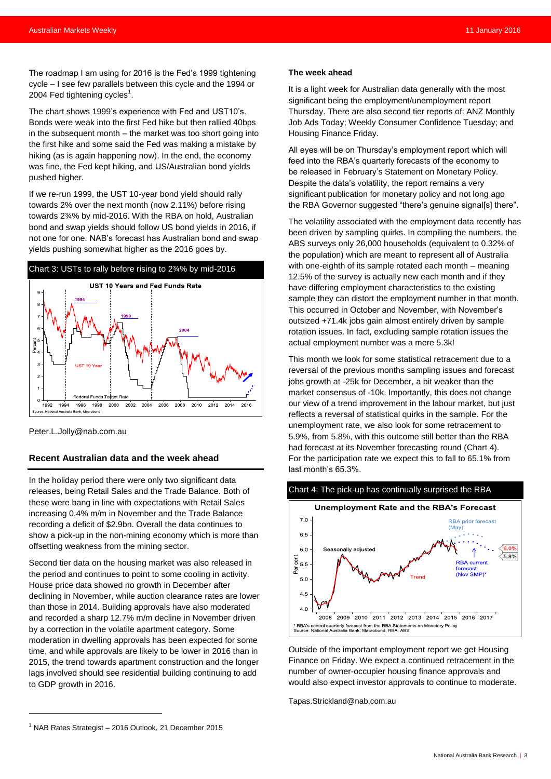The roadmap I am using for 2016 is the Fed's 1999 tightening cycle – I see few parallels between this cycle and the 1994 or 2004 Fed tightening cycles $^{\rm 1}.$ 

The chart shows 1999's experience with Fed and UST10's. Bonds were weak into the first Fed hike but then rallied 40bps in the subsequent month – the market was too short going into the first hike and some said the Fed was making a mistake by hiking (as is again happening now). In the end, the economy was fine, the Fed kept hiking, and US/Australian bond yields pushed higher.

If we re-run 1999, the UST 10-year bond yield should rally towards 2% over the next month (now 2.11%) before rising towards 2¾% by mid-2016. With the RBA on hold, Australian bond and swap yields should follow US bond yields in 2016, if not one for one. NAB's forecast has Australian bond and swap yields pushing somewhat higher as the 2016 goes by.



[Peter.L.Jolly@nab.com.au](mailto:Peter.L.Jolly@nab.com.au)

## **Recent Australian data and the week ahead**

In the holiday period there were only two significant data releases, being Retail Sales and the Trade Balance. Both of these were bang in line with expectations with Retail Sales increasing 0.4% m/m in November and the Trade Balance recording a deficit of \$2.9bn. Overall the data continues to show a pick-up in the non-mining economy which is more than offsetting weakness from the mining sector.

Second tier data on the housing market was also released in the period and continues to point to some cooling in activity. House price data showed no growth in December after declining in November, while auction clearance rates are lower than those in 2014. Building approvals have also moderated and recorded a sharp 12.7% m/m decline in November driven by a correction in the volatile apartment category. Some moderation in dwelling approvals has been expected for some time, and while approvals are likely to be lower in 2016 than in 2015, the trend towards apartment construction and the longer lags involved should see residential building continuing to add to GDP growth in 2016.

#### **The week ahead**

It is a light week for Australian data generally with the most significant being the employment/unemployment report Thursday. There are also second tier reports of: ANZ Monthly Job Ads Today; Weekly Consumer Confidence Tuesday; and Housing Finance Friday.

All eyes will be on Thursday's employment report which will feed into the RBA's quarterly forecasts of the economy to be released in February's Statement on Monetary Policy. Despite the data's volatility, the report remains a very significant publication for monetary policy and not long ago the RBA Governor suggested "there's genuine signal[s] there".

The volatility associated with the employment data recently has been driven by sampling quirks. In compiling the numbers, the ABS surveys only 26,000 households (equivalent to 0.32% of the population) which are meant to represent all of Australia with one-eighth of its sample rotated each month – meaning 12.5% of the survey is actually new each month and if they have differing employment characteristics to the existing sample they can distort the employment number in that month. This occurred in October and November, with November's outsized +71.4k jobs gain almost entirely driven by sample rotation issues. In fact, excluding sample rotation issues the actual employment number was a mere 5.3k!

This month we look for some statistical retracement due to a reversal of the previous months sampling issues and forecast jobs growth at -25k for December, a bit weaker than the market consensus of -10k. Importantly, this does not change our view of a trend improvement in the labour market, but just reflects a reversal of statistical quirks in the sample. For the unemployment rate, we also look for some retracement to 5.9%, from 5.8%, with this outcome still better than the RBA had forecast at its November forecasting round (Chart 4). For the participation rate we expect this to fall to 65.1% from last month's 65.3%.



Outside of the important employment report we get Housing Finance on Friday. We expect a continued retracement in the number of owner-occupier housing finance approvals and would also expect investor approvals to continue to moderate.

[Tapas.Strickland@nab.com.au](mailto:Tapas.Strickland@nab.com.au)

 $\overline{a}$ 

 $1$  NAB Rates Strategist – 2016 Outlook, 21 December 2015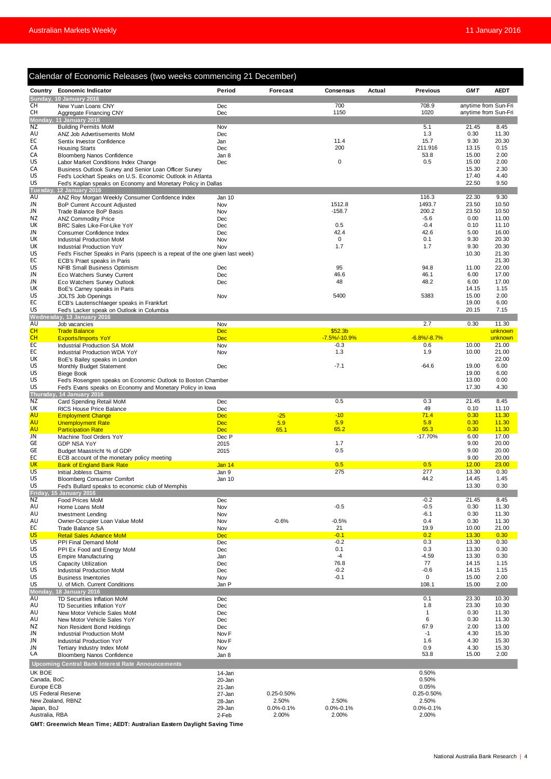|                              | Calendar of Economic Releases (two weeks commencing 21 December)                                             |                          |                          |                                     |                          |                      |                    |
|------------------------------|--------------------------------------------------------------------------------------------------------------|--------------------------|--------------------------|-------------------------------------|--------------------------|----------------------|--------------------|
|                              | Country Economic Indicator                                                                                   | Period                   | Forecast                 | Actual<br>Consensus                 | <b>Previous</b>          | <b>GMT</b>           | <b>AEDT</b>        |
| СH                           | Sunday, 10 January 2016<br>New Yuan Loans CNY                                                                | Dec                      |                          | 700                                 | 708.9                    | anytime from Sun-Fri |                    |
| CH                           | Aggregate Financing CNY                                                                                      | Dec                      |                          | 1150                                | 1020                     | anytime from Sun-Fri |                    |
| <b>NZ</b>                    | Monday, 11 January 2016                                                                                      |                          |                          |                                     |                          | 21.45                |                    |
| AU                           | <b>Building Permits MoM</b><br>ANZ Job Advertisements MoM                                                    | Nov<br>Dec               |                          |                                     | 5.1<br>1.3               | 0.30                 | 8.45<br>11.30      |
| ЕC                           | Sentix Investor Confidence                                                                                   | Jan                      |                          | 11.4                                | 15.7                     | 9.30                 | 20.30              |
| СA<br>CA                     | <b>Housing Starts</b>                                                                                        | Dec                      |                          | 200                                 | 211.916                  | 13.15<br>15.00       | 0.15<br>2.00       |
| US                           | <b>Bloomberg Nanos Confidence</b><br>Labor Market Conditions Index Change                                    | Jan 8<br>Dec             |                          | $\mathsf 0$                         | 53.8<br>0.5              | 15.00                | 2.00               |
| CA                           | Business Outlook Survey and Senior Loan Officer Survey                                                       |                          |                          |                                     |                          | 15.30                | 2.30               |
| US<br>US                     | Fed's Lockhart Speaks on U.S. Economic Outlook in Atlanta                                                    |                          |                          |                                     |                          | 17.40<br>22.50       | 4.40<br>9.50       |
| Tuesday,                     | Fed's Kaplan speaks on Economy and Monetary Policy in Dallas<br><b>12 January 2016</b>                       |                          |                          |                                     |                          |                      |                    |
| AU                           | ANZ Roy Morgan Weekly Consumer Confidence Index                                                              | Jan 10                   |                          |                                     | 116.3                    | 22.30                | 9.30               |
| JN<br>JN                     | <b>BoP Current Account Adjusted</b><br>Trade Balance BoP Basis                                               | Nov<br>Nov               |                          | 1512.8<br>$-158.7$                  | 1493.7<br>200.2          | 23.50<br>23.50       | 10.50<br>10.50     |
| ΝZ                           | <b>ANZ Commodity Price</b>                                                                                   | Dec                      |                          |                                     | $-5.6$                   | 0.00                 | 11.00              |
| UK                           | BRC Sales Like-For-Like YoY                                                                                  | Dec                      |                          | 0.5                                 | $-0.4$                   | 0.10                 | 11.10              |
| JN<br>UK                     | Consumer Confidence Index<br>Industrial Production MoM                                                       | Dec<br>Nov               |                          | 42.4<br>0                           | 42.6<br>0.1              | 5.00<br>9.30         | 16.00<br>20.30     |
| UK                           | Industrial Production YoY                                                                                    | Nov                      |                          | 1.7                                 | 1.7                      | 9.30                 | 20.30              |
| US<br>ЕC                     | Fed's Fischer Speaks in Paris (speech is a repeat of the one given last week)<br>ECB's Praet speaks in Paris |                          |                          |                                     |                          | 10.30                | 21.30<br>21.30     |
| US                           | NFIB Small Business Optimism                                                                                 | Dec                      |                          | 95                                  | 94.8                     | 11.00                | 22.00              |
| JN                           | Eco Watchers Survey Current                                                                                  | Dec                      |                          | 46.6                                | 46.1                     | 6.00                 | 17.00              |
| JN<br>UK                     | Eco Watchers Survey Outlook                                                                                  | Dec                      |                          | 48                                  | 48.2                     | 6.00<br>14.15        | 17.00<br>1.15      |
| US                           | BoE's Carney speaks in Paris<br>JOLTS Job Openings                                                           | Nov                      |                          | 5400                                | 5383                     | 15.00                | 2.00               |
| EC                           | ECB's Lautenschlaeger speaks in Frankfurt                                                                    |                          |                          |                                     |                          | 19.00                | 6.00               |
| US                           | Fed's Lacker speak on Outlook in Columbia<br>Wednesday, 13 January 2016                                      |                          |                          |                                     |                          | 20.15                | 7.15               |
| AU                           | Job vacancies                                                                                                | Nov                      |                          |                                     | 2.7                      | 0.30                 | 11.30              |
| <b>CH</b><br><b>CH</b>       | <b>Trade Balance</b><br><b>Exports/Imports YoY</b>                                                           | <b>Dec</b><br><b>Dec</b> |                          | \$52.3 <sub>b</sub><br>-7.5%/-10.9% | $-6.8\%/ -8.7\%$         |                      | unknown<br>unknown |
| ЕC                           | Industrial Production SA MoM                                                                                 | Nov                      |                          | $-0.3$                              | 0.6                      | 10.00                | 21.00              |
| ЕC                           | Industrial Production WDA YoY                                                                                | Nov                      |                          | 1.3                                 | 1.9                      | 10.00                | 21.00              |
| UK<br>US                     | BoE's Bailey speaks in London<br>Monthly Budget Statement                                                    | Dec                      |                          | $-7.1$                              | $-64.6$                  | 19.00                | 22.00<br>6.00      |
| US                           | <b>Biege Book</b>                                                                                            |                          |                          |                                     |                          | 19.00                | 6.00               |
| US                           | Fed's Rosengren speaks on Economic Outlook to Boston Chamber                                                 |                          |                          |                                     |                          | 13.00                | 0.00               |
| US                           | Fed's Evans speaks on Economy and Monetary Policy in Iowa<br>Thursday, 14 January 2016                       |                          |                          |                                     |                          | 17.30                | 4.30               |
| NZ                           | Card Spending Retail MoM                                                                                     | Dec                      |                          | 0.5                                 | 0.3                      | 21.45                | 8.45               |
| UK<br>AU                     | RICS House Price Balance<br><b>Employment Change</b>                                                         | Dec<br><b>Dec</b>        | $-25$                    | $-10$                               | 49<br>71.4               | 0.10<br>0.30         | 11.10<br>11.30     |
| AU                           | <b>Unemployment Rate</b>                                                                                     | <b>Dec</b>               | 5.9                      | 5.9                                 | 5.8                      | 0.30                 | 11.30              |
| AU                           | <b>Participation Rate</b>                                                                                    | <b>Dec</b>               | 65.1                     | 65.2                                | 65.3                     | 0.30                 | 11.30              |
| <b>JN</b><br>GЕ              | Machine Tool Orders YoY<br><b>GDP NSA YoY</b>                                                                | Dec P<br>2015            |                          | 1.7                                 | $-17.70%$                | 6.00<br>9.00         | 17.00<br>20.00     |
| GЕ                           | Budget Maastricht % of GDP                                                                                   | 2015                     |                          | 0.5                                 |                          | 9.00                 | 20.00              |
| ЕC                           | ECB account of the monetary policy meeting                                                                   |                          |                          |                                     |                          | 9.00                 | 20.00              |
| UK<br>US                     | <b>Bank of England Bank Rate</b><br>Initial Jobless Claims                                                   | Jan 14<br>Jan 9          |                          | 0.5<br>275                          | 0.5<br>277               | 12.00<br>13.30       | 23.00<br>0.30      |
| US                           | <b>Bloomberg Consumer Comfort</b>                                                                            | Jan 10                   |                          |                                     | 44.2                     | 14.45                | 1.45               |
| US                           | Fed's Bullard speaks to economic club of Memphis<br>Friday, 15 January 2016                                  |                          |                          |                                     |                          | 13.30                | 0.30               |
| ΝZ                           | Food Prices MoM                                                                                              | Dec                      |                          |                                     | $-0.2$                   | 21.45                | 8.45               |
| AU                           | Home Loans MoM                                                                                               | Nov                      |                          | $-0.5$                              | $-0.5$                   | 0.30                 | 11.30              |
| AU<br>AU                     | <b>Investment Lending</b><br>Owner-Occupier Loan Value MoM                                                   | Nov<br>Nov               | $-0.6%$                  | $-0.5%$                             | $-6.1$<br>0.4            | 0.30<br>0.30         | 11.30<br>11.30     |
| ЕC                           | Trade Balance SA                                                                                             | Nov                      |                          | 21                                  | 19.9                     | 10.00                | 21.00              |
| <b>US</b><br>US              | <b>Retail Sales Advance MoM</b><br>PPI Final Demand MoM                                                      | <b>Dec</b><br>Dec        |                          | $-0.1$<br>$-0.2$                    | 0.2<br>0.3               | 13.30<br>13.30       | 0.30<br>0.30       |
| US                           | PPI Ex Food and Energy MoM                                                                                   | Dec                      |                          | 0.1                                 | 0.3                      | 13.30                | 0.30               |
| US                           | Empire Manufacturing                                                                                         | Jan                      |                          | -4                                  | $-4.59$                  | 13.30                | 0.30               |
| US<br>US                     | Capacity Utilization<br>Industrial Production MoM                                                            | Dec<br>Dec               |                          | 76.8<br>$-0.2$                      | 77<br>$-0.6$             | 14.15<br>14.15       | 1.15<br>1.15       |
| US                           | <b>Business Inventories</b>                                                                                  | Nov                      |                          | $-0.1$                              | 0                        | 15.00                | 2.00               |
| US                           | U. of Mich. Current Conditions                                                                               | Jan P                    |                          |                                     | 108.1                    | 15.00                | 2.00               |
| Monday,<br><b>AU</b>         | <b>18 January 2016</b><br>TD Securities Inflation MoM                                                        | Dec                      |                          |                                     | 0.1                      | 23.30                | 10.30              |
| AU                           | TD Securities Inflation YoY                                                                                  | Dec                      |                          |                                     | 1.8                      | 23.30                | 10.30              |
| AU<br>AU                     | New Motor Vehicle Sales MoM<br>New Motor Vehicle Sales YoY                                                   | Dec<br>Dec               |                          |                                     | $\mathbf{1}$<br>6        | 0.30<br>0.30         | 11.30<br>11.30     |
| ΝZ                           | Non Resident Bond Holdings                                                                                   | Dec                      |                          |                                     | 67.9                     | 2.00                 | 13.00              |
| JN                           | <b>Industrial Production MoM</b>                                                                             | Nov <sub>F</sub>         |                          |                                     | $-1$                     | 4.30                 | 15.30              |
| JN<br>JN                     | Industrial Production YoY<br>Tertiary Industry Index MoM                                                     | Nov F<br>Nov             |                          |                                     | 1.6<br>0.9               | 4.30<br>4.30         | 15.30<br>15.30     |
| CA                           | <b>Bloomberg Nanos Confidence</b>                                                                            | Jan 8                    |                          |                                     | 53.8                     | 15.00                | 2.00               |
|                              | <b>Upcoming Central Bank Interest Rate Announcements</b>                                                     |                          |                          |                                     |                          |                      |                    |
| UK BOE                       |                                                                                                              | 14-Jan                   |                          |                                     | 0.50%                    |                      |                    |
| Canada, BoC<br>Europe ECB    |                                                                                                              | 20-Jan<br>21-Jan         |                          |                                     | 0.50%<br>0.05%           |                      |                    |
| <b>US Federal Reserve</b>    |                                                                                                              | 27-Jan                   | 0.25-0.50%               |                                     | 0.25-0.50%               |                      |                    |
|                              | New Zealand, RBNZ                                                                                            | 28-Jan                   | 2.50%                    | 2.50%                               | 2.50%                    |                      |                    |
| Japan, BoJ<br>Australia, RBA |                                                                                                              | 29-Jan<br>2-Feb          | $0.0\% - 0.1\%$<br>2.00% | $0.0\% - 0.1\%$<br>2.00%            | $0.0\% - 0.1\%$<br>2.00% |                      |                    |
|                              | GMT: Greenwich Mean Time; AEDT: Australian Eastern Daylight Saving Time                                      |                          |                          |                                     |                          |                      |                    |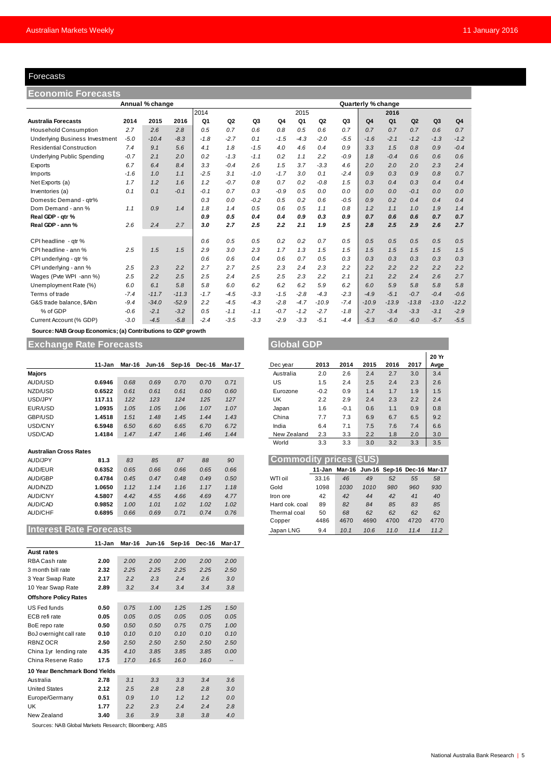## Forecasts

| Forecasts                                                    |        |                 |         |        |                |                |        |        |                |                |                    |                |         |                |                |
|--------------------------------------------------------------|--------|-----------------|---------|--------|----------------|----------------|--------|--------|----------------|----------------|--------------------|----------------|---------|----------------|----------------|
| <b>Economic Forecasts</b>                                    |        |                 |         |        |                |                |        |        |                |                |                    |                |         |                |                |
|                                                              |        | Annual % change |         |        |                |                |        |        |                |                | Quarterly % change |                |         |                |                |
|                                                              |        | 2014            |         |        |                |                | 2015   |        |                |                | 2016               |                |         |                |                |
| <b>Australia Forecasts</b>                                   | 2014   | 2015            | 2016    | Q1     | Q <sub>2</sub> | Q <sub>3</sub> | Q4     | Q1     | Q <sub>2</sub> | Q <sub>3</sub> | Q <sub>4</sub>     | Q <sub>1</sub> | Q2      | Q <sub>3</sub> | Q <sub>4</sub> |
| <b>Household Consumption</b>                                 | 2.7    | 2.6             | 2.8     | 0.5    | 0.7            | 0.6            | 0.8    | 0.5    | 0.6            | 0.7            | 0.7                | 0.7            | 0.7     | 0.6            | 0.7            |
| <b>Underlying Business Investment</b>                        | $-5.0$ | $-10.4$         | $-8.3$  | $-1.8$ | $-2.7$         | 0.1            | $-1.5$ | $-4.3$ | $-2.0$         | $-5.5$         | $-1.6$             | $-2.1$         | $-1.2$  | $-1.3$         | $-1.2$         |
| <b>Residential Construction</b>                              | 7.4    | 9.1             | 5.6     | 4.1    | 1.8            | $-1.5$         | 4.0    | 4.6    | 0.4            | 0.9            | 3.3                | 1.5            | 0.8     | 0.9            | $-0.4$         |
| <b>Underlying Public Spending</b>                            | $-0.7$ | 2.1             | 2.0     | 0.2    | $-1.3$         | $-1.1$         | 0.2    | 1.1    | 2.2            | $-0.9$         | 1.8                | $-0.4$         | 0.6     | 0.6            | 0.6            |
| Exports                                                      | 6.7    | 6.4             | 8.4     | 3.3    | $-0.4$         | 2.6            | 1.5    | 3.7    | $-3.3$         | 4.6            | 2.0                | 2.0            | 2.0     | 2.3            | 2.4            |
| Imports                                                      | $-1.6$ | 1.0             | 1.1     | $-2.5$ | 3.1            | $-1.0$         | $-1.7$ | 3.0    | 0.1            | $-2.4$         | 0.9                | 0.3            | 0.9     | 0.8            | 0.7            |
| Net Exports (a)                                              | 1.7    | 1.2             | 1.6     | 1.2    | $-0.7$         | 0.8            | 0.7    | 0.2    | $-0.8$         | 1.5            | 0.3                | 0.4            | 0.3     | 0.4            | 0.4            |
| Inventories (a)                                              | 0.1    | 0.1             | $-0.1$  | $-0.1$ | 0.7            | 0.3            | $-0.9$ | 0.5    | 0.0            | 0.0            | 0.0                | 0.0            | $-0.1$  | 0.0            | 0.0            |
| Domestic Demand - atr%                                       |        |                 |         | 0.3    | 0.0            | $-0.2$         | 0.5    | 0.2    | 0.6            | $-0.5$         | 0.9                | 0.2            | 0.4     | 0.4            | 0.4            |
| Dom Demand - ann %                                           | 1.1    | 0.9             | 1.4     | 1.8    | 1.4            | 0.5            | 0.6    | 0.5    | 1.1            | 0.8            | 1.2                | 1.1            | 1.0     | 1.9            | 1.4            |
| Real GDP - qtr %                                             |        |                 |         | 0.9    | 0.5            | 0.4            | 0.4    | 0.9    | 0.3            | 0.9            | 0.7                | 0.6            | 0.6     | 0.7            | 0.7            |
| Real GDP - ann %                                             | 2.6    | 2.4             | 2.7     | 3.0    | 2.7            | 2.5            | 2.2    | 2.1    | 1.9            | 2.5            | 2.8                | 2.5            | 2.9     | 2.6            | 2.7            |
| CPI headline - qtr %                                         |        |                 |         | 0.6    | 0.5            | 0.5            | 0.2    | 0.2    | 0.7            | 0.5            | 0.5                | 0.5            | 0.5     | 0.5            | 0.5            |
| CPI headline - ann %                                         | 2.5    | 1.5             | 1.5     | 2.9    | 3.0            | 2.3            | 1.7    | 1.3    | 1.5            | 1.5            | 1.5                | 1.5            | 1.5     | 1.5            | 1.5            |
| CPI underlying - gtr %                                       |        |                 |         | 0.6    | 0.6            | 0.4            | 0.6    | 0.7    | 0.5            | 0.3            | 0.3                | 0.3            | 0.3     | 0.3            | 0.3            |
| CPI underlying - ann %                                       | 2.5    | 2.3             | 2.2     | 2.7    | 2.7            | 2.5            | 2.3    | 2.4    | 2.3            | 2.2            | 2.2                | 2.2            | 2.2     | 2.2            | 2.2            |
| Wages (Pvte WPI -ann %)                                      | 2.5    | 2.2             | 2.5     | 2.5    | 2.4            | 2.5            | 2.5    | 2.3    | 2.2            | 2.1            | 2.1                | 2.2            | 2.4     | 2.6            | 2.7            |
| Unemployment Rate (%)                                        | 6.0    | 6.1             | 5.8     | 5.8    | 6.0            | 6.2            | 6.2    | 6.2    | 5.9            | 6.2            | 6.0                | 5.9            | 5.8     | 5.8            | 5.8            |
| Terms of trade                                               | $-7.4$ | $-11.7$         | $-11.3$ | $-1.7$ | $-4.5$         | $-3.3$         | $-1.5$ | $-2.8$ | $-4.3$         | $-2.3$         | $-4.9$             | $-5.1$         | $-0.7$  | $-0.4$         | $-0.6$         |
| G&S trade balance, \$Abn                                     | $-9.4$ | $-34.0$         | $-52.9$ | 2.2    | $-4.5$         | $-4.3$         | $-2.8$ | $-4.7$ | $-10.9$        | $-7.4$         | $-10.9$            | $-13.9$        | $-13.8$ | $-13.0$        | $-12.2$        |
| % of GDP                                                     | $-0.6$ | $-2.1$          | $-3.2$  | 0.5    | $-1.1$         | $-1.1$         | $-0.7$ | $-1.2$ | $-2.7$         | $-1.8$         | $-2.7$             | $-3.4$         | $-3.3$  | $-3.1$         | $-2.9$         |
| Current Account (% GDP)                                      | $-3.0$ | $-4.5$          | $-5.8$  | $-2.4$ | $-3.5$         | $-3.3$         | $-2.9$ | $-3.3$ | $-5.1$         | $-4.4$         | $-5.3$             | $-6.0$         | $-6.0$  | $-5.7$         | $-5.5$         |
| Source: NAB Group Economics; (a) Contributions to GDP growth |        |                 |         |        |                |                |        |        |                |                |                    |                |         |                |                |

## **Exchange Rate Forecasts Global GDP**

|                               | 11-Jan | Mar-16 | <b>Jun-16</b> | Sep-16 | Dec-16 | Mar-17 | Dec year                       | 2013   | 2014   | 2015 | 2016 | 2017                        | Avge |
|-------------------------------|--------|--------|---------------|--------|--------|--------|--------------------------------|--------|--------|------|------|-----------------------------|------|
| <b>Majors</b>                 |        |        |               |        |        |        | Australia                      | 2.0    | 2.6    | 2.4  | 2.7  | 3.0                         | 3.4  |
| AUD/USD                       | 0.6946 | 0.68   | 0.69          | 0.70   | 0.70   | 0.71   | US                             | 1.5    | 2.4    | 2.5  | 2.4  | 2.3                         | 2.6  |
| NZD/USD                       | 0.6522 | 0.61   | 0.61          | 0.61   | 0.60   | 0.60   | Eurozone                       | $-0.2$ | 0.9    | 1.4  | 1.7  | 1.9                         | 1.5  |
| USD/JPY                       | 117.11 | 122    | 123           | 124    | 125    | 127    | UK                             | 2.2    | 2.9    | 2.4  | 2.3  | 2.2                         | 2.4  |
| EUR/USD                       | 1.0935 | 1.05   | 1.05          | 1.06   | 1.07   | 1.07   | Japan                          | 1.6    | $-0.1$ | 0.6  | 1.1  | 0.9                         | 0.8  |
| GBP/USD                       | 1.4518 | 1.51   | 1.48          | 1.45   | 1.44   | 1.43   | China                          | 7.7    | 7.3    | 6.9  | 6.7  | 6.5                         | 9.2  |
| USD/CNY                       | 6.5948 | 6.50   | 6.60          | 6.65   | 6.70   | 6.72   | India                          | 6.4    | 7.1    | 7.5  | 7.6  | 7.4                         | 6.6  |
| USD/CAD                       | 1.4184 | 1.47   | 1.47          | 1.46   | 1.46   | 1.44   | New Zealand                    | 2.3    | 3.3    | 2.2  | 1.8  | 2.0                         | 3.0  |
|                               |        |        |               |        |        |        | World                          | 3.3    | 3.3    | 3.0  | 3.2  | 3.3                         | 3.5  |
| <b>Australian Cross Rates</b> |        |        |               |        |        |        |                                |        |        |      |      |                             |      |
| AUD/JPY                       | 81.3   | 83     | 85            | 87     | 88     | 90     | <b>Commodity prices (\$US)</b> |        |        |      |      |                             |      |
| AUD/EUR                       | 0.6352 | 0.65   | 0.66          | 0.66   | 0.65   | 0.66   |                                | 11-Jan | Mar-16 |      |      | Jun-16 Sep-16 Dec-16 Mar-17 |      |
| <b>AUD/GBP</b>                | 0.4784 | 0.45   | 0.47          | 0.48   | 0.49   | 0.50   | WTI oil                        | 33.16  | 46     | 49   | 52   | 55                          | 58   |
| AUD/NZD                       | 1.0650 | 1.12   | 1.14          | 1.16   | 1.17   | 1.18   | Gold                           | 1098   | 1030   | 1010 | 980  | 960                         | 930  |
| <b>AUD/CNY</b>                | 4.5807 | 4.42   | 4.55          | 4.66   | 4.69   | 4.77   | Iron ore                       | 42     | 42     | 44   | 42   | 41                          | 40   |
| AUD/CAD                       | 0.9852 | 1.00   | 1.01          | 1.02   | 1.02   | 1.02   | Hard cok. coal                 | 89     | 82     | 84   | 85   | 83                          | 85   |
| <b>AUD/CHF</b>                | 0.6895 | 0.66   | 0.69          | 0.71   | 0.74   | 0.76   | Thermal coal                   | 50     | 68     | 62   | 62   | 62                          | 62   |

## **Interest Rate Forecasts**

|                               | 11-Jan | Mar-16 | Jun-16 | Sep-16 | Dec-16 | <b>Mar-17</b>     |
|-------------------------------|--------|--------|--------|--------|--------|-------------------|
| <b>Aust rates</b>             |        |        |        |        |        |                   |
| RBA Cash rate                 | 2.00   | 2.00   | 2.00   | 2.00   | 2.00   | 2.00              |
| 3 month bill rate             | 2.32   | 2.25   | 2.25   | 2.25   | 2.25   | 2.50              |
| 3 Year Swap Rate              | 2.17   | 2.2    | 2.3    | 2.4    | 2.6    | 3.0               |
| 10 Year Swap Rate             | 2.89   | 3.2    | 3.4    | 3.4    | 3.4    | 3.8               |
| <b>Offshore Policy Rates</b>  |        |        |        |        |        |                   |
| US Fed funds                  | 0.50   | 0.75   | 1.00   | 1.25   | 1.25   | 1.50              |
| ECB refi rate                 | 0.05   | 0.05   | 0.05   | 0.05   | 0.05   | 0.05              |
| BoE repo rate                 | 0.50   | 0.50   | 0.50   | 0.75   | 0.75   | 1.00              |
| BoJ overnight call rate       | 0.10   | 0.10   | 0.10   | 0.10   | 0.10   | 0.10              |
| RBNZ OCR                      | 2.50   | 2.50   | 2.50   | 2.50   | 2.50   | 2.50              |
| China 1yr lending rate        | 4.35   | 4.10   | 3.85   | 3.85   | 3.85   | 0.00              |
| China Reserve Ratio           | 17.5   | 17.0   | 16.5   | 16.0   | 16.0   | $\qquad \qquad -$ |
| 10 Year Benchmark Bond Yields |        |        |        |        |        |                   |
| Australia                     | 2.78   | 3.1    | 3.3    | 3.3    | 3.4    | 3.6               |
| <b>United States</b>          | 2.12   | 2.5    | 2.8    | 2.8    | 2.8    | 3.0               |
| Europe/Germany                | 0.51   | 0.9    | 1.0    | 1.2    | 1.2    | 0.0               |
| UK                            | 1.77   | 2.2    | 2.3    | 2.4    | 2.4    | 2.8               |
| New Zealand                   | 3.40   | 3.6    | 3.9    | 3.8    | 3.8    | 4.0               |

Sources: NAB Global Markets Research; Bloomberg; ABS

|        |      |      |                      |        |        |             |        |        |      |      |      | 20 Yr |
|--------|------|------|----------------------|--------|--------|-------------|--------|--------|------|------|------|-------|
| 11-Jan |      |      | Mar-16 Jun-16 Sep-16 | Dec-16 | Mar-17 | Dec year    | 2013   | 2014   | 2015 | 2016 | 2017 | Avge  |
|        |      |      |                      |        |        | Australia   | 2.0    | 2.6    | 2.4  | 2.7  | 3.0  | 3.4   |
| 0.6946 | 0.68 | 0.69 | 0.70                 | 0.70   | 0.71   | US          | 1.5    | 2.4    | 2.5  | 2.4  | 2.3  | 2.6   |
| 0.6522 | 0.61 | 0.61 | 0.61                 | 0.60   | 0.60   | Eurozone    | $-0.2$ | 0.9    | 1.4  | 1.7  | 1.9  | 1.5   |
| 117.11 | 122  | 123  | 124                  | 125    | 127    | UK          | 2.2    | 2.9    | 2.4  | 2.3  | 2.2  | 2.4   |
| 1.0935 | 1.05 | 1.05 | 1.06                 | 1.07   | 1.07   | Japan       | 1.6    | $-0.1$ | 0.6  | 1.1  | 0.9  | 0.8   |
| 1.4518 | 1.51 | 1.48 | 1.45                 | 1.44   | 1.43   | China       | 7.7    | 7.3    | 6.9  | 6.7  | 6.5  | 9.2   |
| 6.5948 | 6.50 | 6.60 | 6.65                 | 6.70   | 6.72   | India       | 6.4    | 7.1    | 7.5  | 7.6  | 7.4  | 6.6   |
| 1.4184 | 1.47 | 1.47 | 1.46                 | 1.46   | 1.44   | New Zealand | 2.3    | 3.3    | 2.2  | 1.8  | 2.0  | 3.0   |
|        |      |      |                      |        |        | World       | 3.3    | 3.3    | 3.0  | 3.2  | 3.3  | 3.5   |

| AUD/JPY                        | 81.3   | 83   | 85   | 87   | 88   | 90   | <b>Commodity prices (\$US)</b> |       |                                           |      |      |      |      |
|--------------------------------|--------|------|------|------|------|------|--------------------------------|-------|-------------------------------------------|------|------|------|------|
| AUD/EUR                        | 0.6352 | 0.65 | 0.66 | 0.66 | 0.65 | 0.66 |                                |       | 11-Jan Mar-16 Jun-16 Sep-16 Dec-16 Mar-17 |      |      |      |      |
| AUD/GBP                        | 0.4784 | 0.45 | 0.47 | 0.48 | 0.49 | 0.50 | WTI oil                        | 33.16 | 46                                        | 49   | 52   | 55   | 58   |
| AUD/NZD                        | 1.0650 | 1.12 | 1.14 | 1.16 | 1.17 | 1.18 | Gold                           | 1098  | 1030                                      | 1010 | 980  | 960  | 930  |
| AUD/CNY                        | 4.5807 | 4.42 | 4.55 | 4.66 | 4.69 | 4.77 | Iron ore                       | 42    | 42                                        | 44   | 42   | 41   | 40   |
| AUD/CAD                        | 0.9852 | 1.00 | 1.01 | 1.02 | 1.02 | 1.02 | Hard cok. coal                 | 89    | 82                                        | 84   | 85   | 83   | 85   |
| AUD/CHF                        | 0.6895 | 0.66 | 0.69 | 0.71 | 0.74 | 0.76 | Thermal coal                   | 50    | 68                                        | 62   | 62   | 62   | 62   |
|                                |        |      |      |      |      |      | Copper                         | 4486  | 4670                                      | 4690 | 4700 | 4720 | 4770 |
| <b>Interest Rate Forecasts</b> |        |      |      |      |      |      | Japan LNG                      | 9.4   | 10.1                                      | 10.6 | 11.0 | 11.4 | 11.2 |